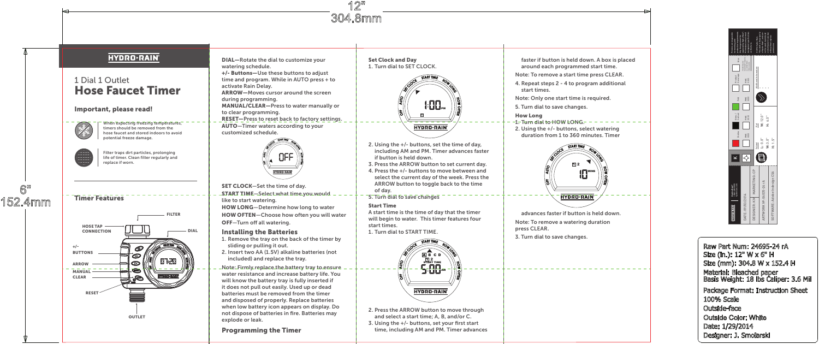# **HYDRO-RAIN**

# 1 Dial 1 Outlet Hose Faucet Timer

# Important, please read!

When expecting freezing temperatures timers should be removed from the hose faucet and stored indoors to avoid potential freeze damage.



Filter traps dirt particles, prolonging life of timer. Clean filter regularly and replace if worn.

# Timer Features



DIAL—Rotate the dial to customize your watering schedule. +/- Buttons—Use these buttons to adjust time and program. While in AUTO press + to activate Rain Delay. ARROW—Moves cursor around the screen during programming. MANUAL/CLEAR—Press to water manually or to clear programming. RESET—Press to reset back to factory settings. AUTO—Timer waters according to your customized schedule.



SET CLOCK—Set the time of day. START TIME—Select what time you would like to start watering. HOW LONG—Determine how long to water

HOW OFTEN—Choose how often you will water OFF—Turn off all watering.

# Installing the Batteries

- 1. Remove the tray on the back of the timer by sliding or pulling it out.
- 2. Insert two AA (1.5V) alkaline batteries (not included) and replace the tray.
- Note: Firmly replace the battery tray to ensure water resistance and increase battery life. You will know the battery tray is fully inserted if it does not pull out easily. Used up or dead batteries must be removed from the timer and disposed of properly. Replace batteries when low battery icon appears on display. Do not dispose of batteries in fire. Batteries may explode or leak.

# Programming the Timer

Set Clock and Day 1. Turn dial to SET CLOCK.



- 2. Using the +/- buttons, set the time of day, including AM and PM. Timer advances faster if button is held down.
- 3. Press the ARROW button to set current day.
- 4. Press the +/- buttons to move between and select the current day of the week. Press the ARROW button to toggle back to the time of day.
- 5. Turn dial to save changes

## Start Time

A start time is the time of day that the timer will begin to water. This timer features four start times. 1. Turn dial to START TIME.



- 2. Press the ARROW button to move through and select a start time; A, B, and/or C.
- 3. Using the +/- buttons, set your first start time, including AM and PM. Timer advances

faster if button is held down. A box is placed around each programmed start time.

- Note: To remove a start time press CLEAR.
- 4. Repeat steps 2 4 to program additional start times.

Note: Only one start time is required.

5. Turn dial to save changes.

- How Long
- 1-Turn dial to HOW LONG-
- 2. Using the +/- buttons, select watering duration from 1 to 360 minutes. Timer



advances faster if button is held down. Note: To remove a watering duration press CLEAR.

3. Turn dial to save changes.